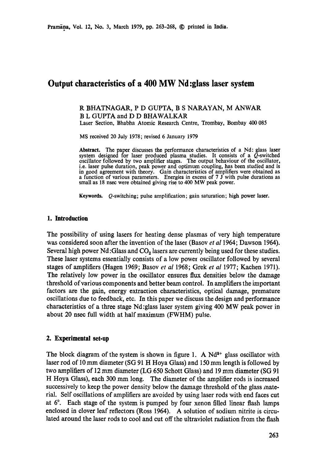# **Output characteristics of a 400 MW Nd:glass laser system**

# R BHATNAGAR, P D GUPTA, B S NARAYAN, M ANWAR B L GUPTA and D D BHAWALKAR

Laser Section, Bhabha Atomic Research Centre, Trombay, Bombay 400 085

MS received 20 July 1978; revised 6 January 1979

**Abstract.** The paper discusses the performance characteristics of a Nd: glass laser system designed for laser produced plasma studies. It consists of a Q-switched oscillator followed by two amplifier stages. The output behaviour of the oscillator, i.e. laser pulse duration, peak power and optimum coupling, has been studied and is in good agreement with theory. Gain characteristics of amplifiers were obtained as a function of various parameters. Energies in excess of  $7 \text{ J}$  with pulse durations as small as 18 nsec were obtained giving rise to 400 MW peak power.

**Keywords.** Q-switching; pulse amplification; gain saturation; high power laser.

#### **1. Introduction**

The possibility of using lasers for heating dense plasmas of very high temperature was considered soon after the invention of the laser (Basov *et al* 1964; Dawson 1964). Several high power  $Nd$ :Glass and  $CO<sub>2</sub>$  lasers are currently being used for these studies. These laser systems essentially consists of a low power oscillator followed by several stages of amplifiers (Hagen 1969; Basov *et al* 1968; Grek *et al* 1977; Kachen 1971). The relatively low power in the oscillator ensures flux densities below the damage threshold of various components and better beam control. In amplifiers the important factors are the gain, energy extraction characteristics, optical damage, premature oscillations due to feedback, etc. In this paper we discuss the design and performance characteristics of a three stage Nd :glass laser system giving 400 MW peak power in about 20 nsec full width at half maximum (FWHM) pulse.

#### **2. Experimental set-up**

The block diagram of the system is shown in figure 1. A  $Nd^{3+}$  glass oscillator with laser rod of I0 mm diameter (SG 91 H Hoya Glass) and 150 mm length is followed by two amplifiers of 12 mm diameter (LG650 Schott Glass) and 19 mm diameter (SG 91 H Hoya Glass), each 300 mm long. The diameter of the amplifier rods is increased successively to keep the power density below the damage threshold of the glass material. Self oscillations of amplifiers are avoided by using laser rods with end faces cut at 6°. Each stage of the system is pumped by four xenon filled linear flash lamps enclosed in dover leaf reflectors (Ross 1964). A solution of sodium nitrite is circulated around the laser rods to cool and cut off the ultraviolet radiation from the flash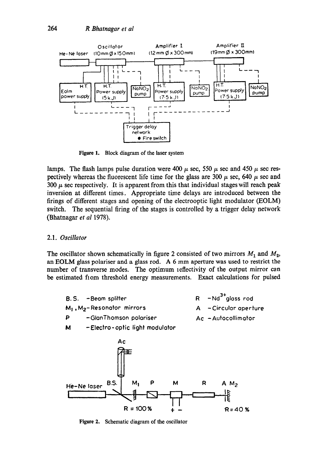

Figure 1. Block diagram of the laser system

lamps. The flash lamps pulse duration were 400  $\mu$  sec, 550  $\mu$  sec and 450  $\mu$  sec respectively whereas the fluorescent life time for the glass are 300  $\mu$  sec, 640  $\mu$  sec and 300  $\mu$  sec respectively. It is apparent from this that individual stages will reach peak inversion at different times. Appropriate time delays are introduced between the firings of different stages and opening of the electrooptic light modulator (EOLM) switch. The sequential firing of the stages is controlled by a trigger delay network (Bhatnagar *et al* 1978).

#### 2.1. *Oscillator*

The oscillator shown schematically in figure 2 consisted of two mirrors  $M_1$  and  $M_2$ , an EOLM glass polariser and a glass rod. A 6 mm aperture was used to restrict the number of transverse modes. The optimum 1effectivity of the output mirror can be estimated from threshold energy measurements. Exact calculations for pulsed



Figure 2. Schematic diagram of the oscillator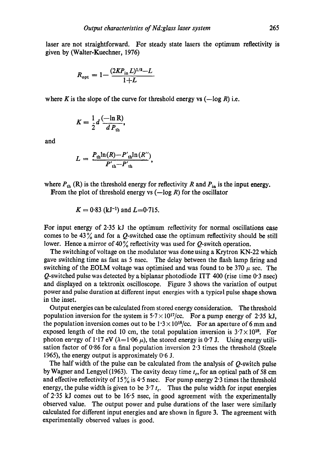laser are not straightforward. For steady state lasers the optimum reflectivity is given by (Walter-Kuechner, 1976)

$$
R_{\rm opt} = 1 - \frac{(2KP_{\rm in}L)^{1/2} - L}{1 + L}
$$

where K is the slope of the curve for threshold energy vs  $(-log R)$  i.e.

$$
K=\frac{1}{2}d\,\frac{(-\ln R)}{d\,P_{\rm th}},
$$

and

$$
L = \frac{P_{\text{th}} \ln(R) - P'_{\text{th}} \ln(R'')}{P'_{\text{th}} - P'_{\text{th}}},
$$

where  $P_{th}$  (R) is the threshold energy for reflectivity R and  $P_{in}$  is the input energy.

From the plot of threshold energy vs  $(-log R)$  for the oscillator

$$
K = 0.83
$$
 (kJ<sup>-1</sup>) and L=0.715.

For input energy of 2.35 kJ the optimum reflectivity for normal oscillations case comes to be 43 $\%$  and for a Q-switched case the optimum reflectivity should be still lower. Hence a mirror of 40% reflectivity was used for  $Q$ -switch operation.

The switching of voltage on the modulator was done using a Krytron KN-22 which gave switching time as fast as 5 nsec. The delay between the flash lamp firing and switching of the EOLM voltage was optimised and was found to be 370  $\mu$  sec. The  $Q$ -switched pulse was detected by a biplanar photodiode ITT 400 (rise time 0.3 nsec) and displayed on a tektronix oscilloscope. Figure 3 shows the variation of output power and pulse duration at different input energies with a typical pulse shape shown in the inset.

Output energies can be calculated from stored energy consideration. The threshold population inversion for the system is  $5.7 \times 10^{17}/c$ . For a pump energy of 2.35 kJ, the population inversion comes out to be  $1.3 \times 10^{18}/c$ . For an aperture of 6 mm and exposed length of the rod 10 cm, the total population inversion is  $3.7 \times 10^{18}$ . For photon energy of 1.17 eV ( $\lambda = 1.06~\mu$ ), the stored energy is 0.7 J. Using energy utilisation factor of  $0.86$  for a final population inversion 2.3 times the threshold (Steele 1965), the energy output is approximately  $0.6$  J.

The half width of the pulse can be calculated from the analysis of  $Q$ -switch pulse by Wagner and Lengyel (1963). The cavity decay time  $t_c$ , for an optical path of 58 cm and effective reflectivity of 15% is 4.5 nsec. For pump energy 2.3 times the threshold energy, the pulse width is given to be  $3.7 t_c$ . Thus the pulse width for input energies of 2"35 kJ comes out to be 16"5 nsec, in good agreement with the experimentally observed value. The output power and pulse durations of the laser were similarly calculated for different input energies and are shown in figure 3. The agreement with experimentally observed values is good.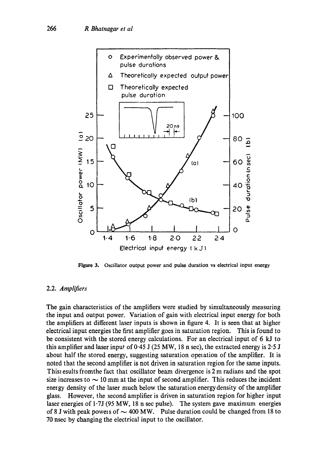

Figure 3. Oscillator output power and pulse duration vs electrical input energy

### 2.2. *Amplifiers*

The gain characteristics of the amplifiers were studied by simultaneously measuring the input and output power. Variation of gain with electrical input energy for both the amplifiers at different laser inputs is shown in figure 4. It is seen that at higher electrical input energies the first amplifier goes in saturation region. This is found to be consistent with the stored energy calculations. For an electrical input of 6 kJ to this amplifier and laser input of  $0.45$  J ( $25$  MW, 18 n sec), the extracted energy is  $2.5$  J about half the stored energy, suggesting saturation operation of the amplifier. It is noted that the second amplifier is not driven in saturation region for the same inputs. Thist esults fromthe fact that oscillator beam divergence is 2 m radians and the spot size increases to  $\sim$  10 mm at the input of second amplifier. This reduces the incident energy density of the laser much below the saturation energy density of the amplifier glass. However, the second amplifier is driven in saturation region for higher input laser energies of l'7J (95 MW, 18 n see pulse). The system gave maximum energies of 8 J with peak powers of  $\sim$  400 MW. Pulse duration could be changed from 18 to 70 nsec by changing the electrical input to the oscillator.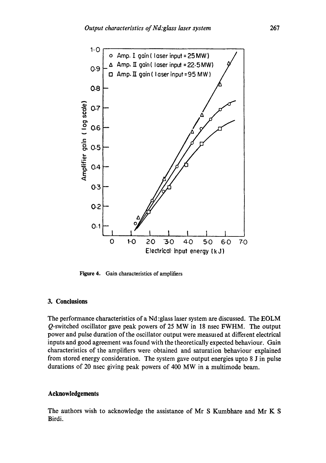

Figure 4. Gain characteristics of amplifiers

## **3. Conclusions**

The performance characteristics of a Nd :glass laser system are discussed. The EOLM Q-switched oscillator gave peak powers of 25 MW in 18 nsec FWHM. The output power and pulse duration of the oscillator output were measmed at diffeient electrical inputs and good agreement was found with the theoretically expected behaviour. Gain characteristics of the amplifiers were obtained and saturation behaviour explained from stored energy consideration. The system gave output energies upto 8 J in pulse durations of 20 nsec giving peak powers of 400 MW in a multimode beam.

#### **Acknowledgements**

The authors wish to acknowledge the assistance of Mr S Kumbhare and Mr K S Birdi.